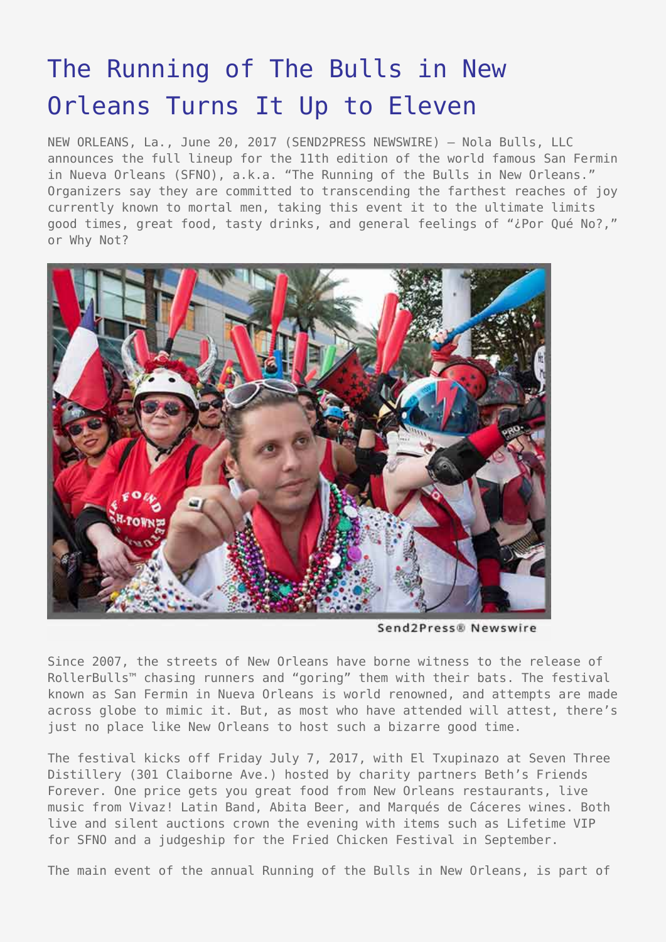## [The Running of The Bulls in New](https://www.send2press.com/wire/the-running-of-the-bulls-in-new-orleans-turns-it-up-to-eleven/) [Orleans Turns It Up to Eleven](https://www.send2press.com/wire/the-running-of-the-bulls-in-new-orleans-turns-it-up-to-eleven/)

NEW ORLEANS, La., June 20, 2017 (SEND2PRESS NEWSWIRE) — Nola Bulls, LLC announces the full lineup for the 11th edition of the world famous San Fermin in Nueva Orleans (SFNO), a.k.a. "The Running of the Bulls in New Orleans." Organizers say they are committed to transcending the farthest reaches of joy currently known to mortal men, taking this event it to the ultimate limits good times, great food, tasty drinks, and general feelings of "¿Por Qué No?," or Why Not?



Send2Press® Newswire

Since 2007, the streets of New Orleans have borne witness to the release of RollerBulls™ chasing runners and "goring" them with their bats. The festival known as San Fermin in Nueva Orleans is world renowned, and attempts are made across globe to mimic it. But, as most who have attended will attest, there's just no place like New Orleans to host such a bizarre good time.

The festival kicks off Friday July 7, 2017, with El Txupinazo at Seven Three Distillery (301 Claiborne Ave.) hosted by charity partners Beth's Friends Forever. One price gets you great food from New Orleans restaurants, live music from Vivaz! Latin Band, Abita Beer, and Marqués de Cáceres wines. Both live and silent auctions crown the evening with items such as Lifetime VIP for SFNO and a judgeship for the Fried Chicken Festival in September.

The main event of the annual Running of the Bulls in New Orleans, is part of